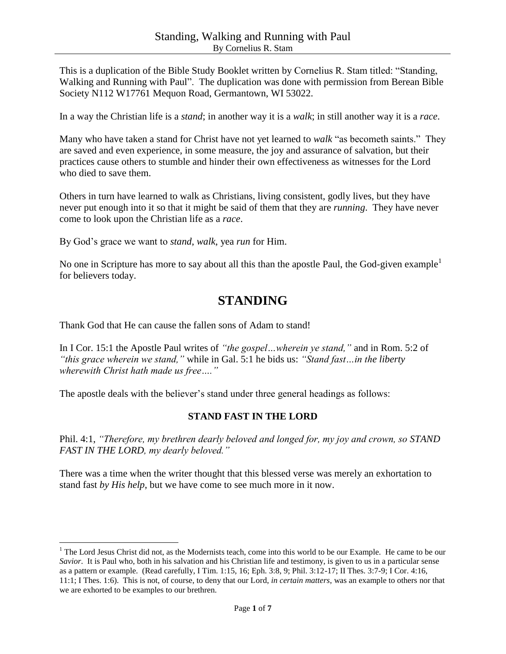This is a duplication of the Bible Study Booklet written by Cornelius R. Stam titled: "Standing, Walking and Running with Paul". The duplication was done with permission from Berean Bible Society N112 W17761 Mequon Road, Germantown, WI 53022.

In a way the Christian life is a *stand*; in another way it is a *walk*; in still another way it is a *race*.

Many who have taken a stand for Christ have not yet learned to *walk* "as becometh saints." They are saved and even experience, in some measure, the joy and assurance of salvation, but their practices cause others to stumble and hinder their own effectiveness as witnesses for the Lord who died to save them.

Others in turn have learned to walk as Christians, living consistent, godly lives, but they have never put enough into it so that it might be said of them that they are *running*. They have never come to look upon the Christian life as a *race*.

By God's grace we want to *stand*, *walk*, yea *run* for Him.

No one in Scripture has more to say about all this than the apostle Paul, the God-given example<sup>1</sup> for believers today.

# **STANDING**

Thank God that He can cause the fallen sons of Adam to stand!

 $\overline{a}$ 

In I Cor. 15:1 the Apostle Paul writes of *"the gospel…wherein ye stand,"* and in Rom. 5:2 of *"this grace wherein we stand,"* while in Gal. 5:1 he bids us: *"Stand fast…in the liberty wherewith Christ hath made us free…."*

The apostle deals with the believer's stand under three general headings as follows:

#### **STAND FAST IN THE LORD**

Phil. 4:1, *"Therefore, my brethren dearly beloved and longed for, my joy and crown, so STAND FAST IN THE LORD, my dearly beloved."*

There was a time when the writer thought that this blessed verse was merely an exhortation to stand fast *by His help*, but we have come to see much more in it now.

<sup>&</sup>lt;sup>1</sup> The Lord Jesus Christ did not, as the Modernists teach, come into this world to be our Example. He came to be our *Savior*. It is Paul who, both in his salvation and his Christian life and testimony, is given to us in a particular sense as a pattern or example. (Read carefully, I Tim. 1:15, 16; Eph. 3:8, 9; Phil. 3:12-17; II Thes. 3:7-9; I Cor. 4:16, 11:1; I Thes. 1:6). This is not, of course, to deny that our Lord, *in certain matters*, was an example to others nor that we are exhorted to be examples to our brethren.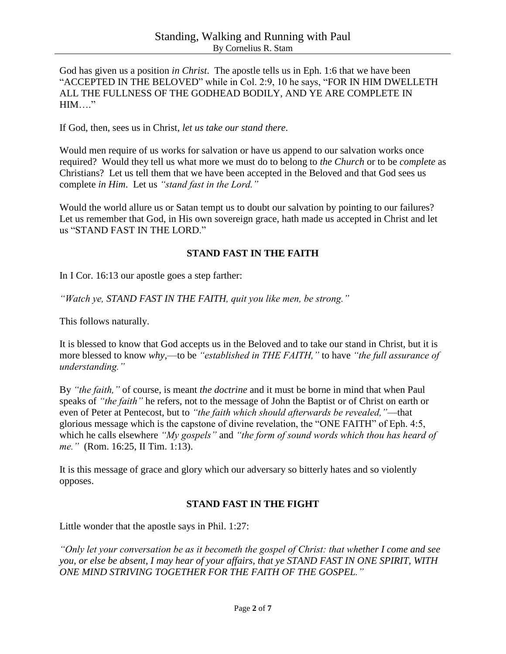God has given us a position *in Christ*. The apostle tells us in Eph. 1:6 that we have been "ACCEPTED IN THE BELOVED" while in Col. 2:9, 10 he says, "FOR IN HIM DWELLETH ALL THE FULLNESS OF THE GODHEAD BODILY, AND YE ARE COMPLETE IN  $HIM..."$ 

If God, then, sees us in Christ, *let us take our stand there*.

Would men require of us works for salvation or have us append to our salvation works once required? Would they tell us what more we must do to belong to *the Church* or to be *complete* as Christians? Let us tell them that we have been accepted in the Beloved and that God sees us complete *in Him*. Let us *"stand fast in the Lord."*

Would the world allure us or Satan tempt us to doubt our salvation by pointing to our failures? Let us remember that God, in His own sovereign grace, hath made us accepted in Christ and let us "STAND FAST IN THE LORD."

#### **STAND FAST IN THE FAITH**

In I Cor. 16:13 our apostle goes a step farther:

*"Watch ye, STAND FAST IN THE FAITH, quit you like men, be strong."*

This follows naturally.

It is blessed to know that God accepts us in the Beloved and to take our stand in Christ, but it is more blessed to know *why*,—to be *"established in THE FAITH,"* to have *"the full assurance of understanding."*

By *"the faith,"* of course, is meant *the doctrine* and it must be borne in mind that when Paul speaks of *"the faith"* he refers, not to the message of John the Baptist or of Christ on earth or even of Peter at Pentecost, but to *"the faith which should afterwards be revealed,"*—that glorious message which is the capstone of divine revelation, the "ONE FAITH" of Eph. 4:5, which he calls elsewhere *"My gospels"* and *"the form of sound words which thou has heard of me."* (Rom. 16:25, II Tim. 1:13).

It is this message of grace and glory which our adversary so bitterly hates and so violently opposes.

#### **STAND FAST IN THE FIGHT**

Little wonder that the apostle says in Phil. 1:27:

*"Only let your conversation be as it becometh the gospel of Christ: that whether I come and see you, or else be absent, I may hear of your affairs, that ye STAND FAST IN ONE SPIRIT, WITH ONE MIND STRIVING TOGETHER FOR THE FAITH OF THE GOSPEL."*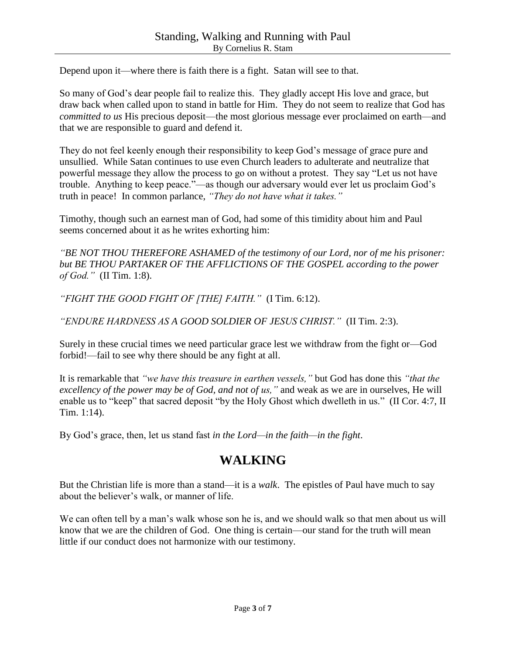Depend upon it—where there is faith there is a fight. Satan will see to that.

So many of God's dear people fail to realize this. They gladly accept His love and grace, but draw back when called upon to stand in battle for Him. They do not seem to realize that God has *committed to us* His precious deposit—the most glorious message ever proclaimed on earth—and that we are responsible to guard and defend it.

They do not feel keenly enough their responsibility to keep God's message of grace pure and unsullied. While Satan continues to use even Church leaders to adulterate and neutralize that powerful message they allow the process to go on without a protest. They say "Let us not have trouble. Anything to keep peace."—as though our adversary would ever let us proclaim God's truth in peace! In common parlance, *"They do not have what it takes."*

Timothy, though such an earnest man of God, had some of this timidity about him and Paul seems concerned about it as he writes exhorting him:

*"BE NOT THOU THEREFORE ASHAMED of the testimony of our Lord, nor of me his prisoner: but BE THOU PARTAKER OF THE AFFLICTIONS OF THE GOSPEL according to the power of God."* (II Tim. 1:8).

*"FIGHT THE GOOD FIGHT OF [THE] FAITH."* (I Tim. 6:12).

*"ENDURE HARDNESS AS A GOOD SOLDIER OF JESUS CHRIST."* (II Tim. 2:3).

Surely in these crucial times we need particular grace lest we withdraw from the fight or—God forbid!—fail to see why there should be any fight at all.

It is remarkable that *"we have this treasure in earthen vessels,"* but God has done this *"that the excellency of the power may be of God, and not of us,"* and weak as we are in ourselves, He will enable us to "keep" that sacred deposit "by the Holy Ghost which dwelleth in us." (II Cor. 4:7, II Tim. 1:14).

By God's grace, then, let us stand fast *in the Lord—in the faith—in the fight*.

# **WALKING**

But the Christian life is more than a stand—it is a *walk*. The epistles of Paul have much to say about the believer's walk, or manner of life.

We can often tell by a man's walk whose son he is, and we should walk so that men about us will know that we are the children of God. One thing is certain—our stand for the truth will mean little if our conduct does not harmonize with our testimony.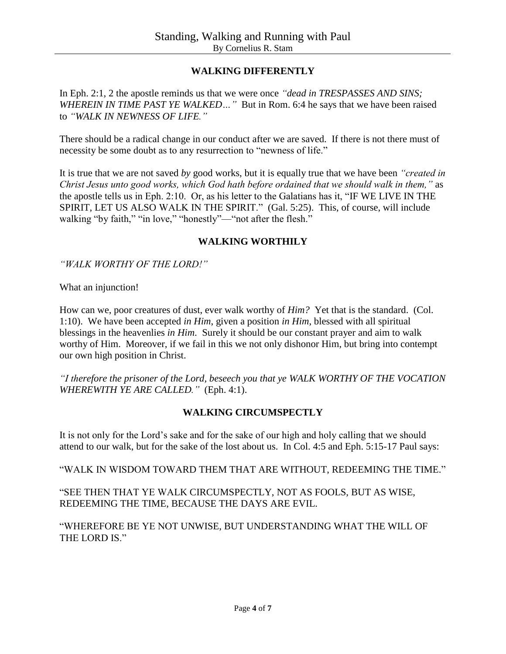## **WALKING DIFFERENTLY**

In Eph. 2:1, 2 the apostle reminds us that we were once *"dead in TRESPASSES AND SINS; WHEREIN IN TIME PAST YE WALKED…"* But in Rom. 6:4 he says that we have been raised to *"WALK IN NEWNESS OF LIFE."*

There should be a radical change in our conduct after we are saved. If there is not there must of necessity be some doubt as to any resurrection to "newness of life."

It is true that we are not saved *by* good works, but it is equally true that we have been *"created in Christ Jesus unto good works, which God hath before ordained that we should walk in them,"* as the apostle tells us in Eph. 2:10. Or, as his letter to the Galatians has it, "IF WE LIVE IN THE SPIRIT, LET US ALSO WALK IN THE SPIRIT." (Gal. 5:25). This, of course, will include walking "by faith," "in love," "honestly"—"not after the flesh."

#### **WALKING WORTHILY**

*"WALK WORTHY OF THE LORD!"*

What an injunction!

How can we, poor creatures of dust, ever walk worthy of *Him?* Yet that is the standard. (Col. 1:10). We have been accepted *in Him*, given a position *in Him*, blessed with all spiritual blessings in the heavenlies *in Him*. Surely it should be our constant prayer and aim to walk worthy of Him. Moreover, if we fail in this we not only dishonor Him, but bring into contempt our own high position in Christ.

*"I therefore the prisoner of the Lord, beseech you that ye WALK WORTHY OF THE VOCATION WHEREWITH YE ARE CALLED."* (Eph. 4:1).

#### **WALKING CIRCUMSPECTLY**

It is not only for the Lord's sake and for the sake of our high and holy calling that we should attend to our walk, but for the sake of the lost about us. In Col. 4:5 and Eph. 5:15-17 Paul says:

"WALK IN WISDOM TOWARD THEM THAT ARE WITHOUT, REDEEMING THE TIME."

"SEE THEN THAT YE WALK CIRCUMSPECTLY, NOT AS FOOLS, BUT AS WISE, REDEEMING THE TIME, BECAUSE THE DAYS ARE EVIL.

"WHEREFORE BE YE NOT UNWISE, BUT UNDERSTANDING WHAT THE WILL OF THE LORD IS."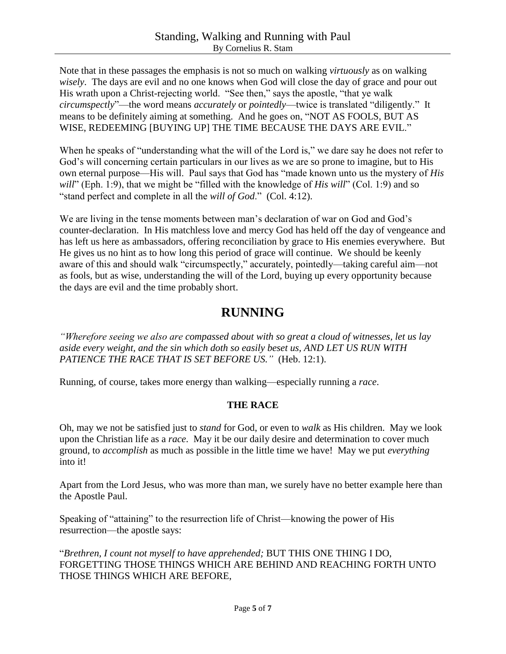Note that in these passages the emphasis is not so much on walking *virtuously* as on walking *wisely*. The days are evil and no one knows when God will close the day of grace and pour out His wrath upon a Christ-rejecting world. "See then," says the apostle, "that ye walk *circumspectly*"—the word means *accurately* or *pointedly*—twice is translated "diligently." It means to be definitely aiming at something. And he goes on, "NOT AS FOOLS, BUT AS WISE, REDEEMING [BUYING UP] THE TIME BECAUSE THE DAYS ARE EVIL."

When he speaks of "understanding what the will of the Lord is," we dare say he does not refer to God's will concerning certain particulars in our lives as we are so prone to imagine, but to His own eternal purpose—His will. Paul says that God has "made known unto us the mystery of *His will*" (Eph. 1:9), that we might be "filled with the knowledge of *His will*" (Col. 1:9) and so "stand perfect and complete in all the *will of God*." (Col. 4:12).

We are living in the tense moments between man's declaration of war on God and God's counter-declaration. In His matchless love and mercy God has held off the day of vengeance and has left us here as ambassadors, offering reconciliation by grace to His enemies everywhere. But He gives us no hint as to how long this period of grace will continue. We should be keenly aware of this and should walk "circumspectly," accurately, pointedly—taking careful aim—not as fools, but as wise, understanding the will of the Lord, buying up every opportunity because the days are evil and the time probably short.

# **RUNNING**

*"Wherefore seeing we also are compassed about with so great a cloud of witnesses, let us lay aside every weight, and the sin which doth so easily beset us, AND LET US RUN WITH PATIENCE THE RACE THAT IS SET BEFORE US."* (Heb. 12:1).

Running, of course, takes more energy than walking—especially running a *race*.

# **THE RACE**

Oh, may we not be satisfied just to *stand* for God, or even to *walk* as His children. May we look upon the Christian life as a *race*. May it be our daily desire and determination to cover much ground, to *accomplish* as much as possible in the little time we have! May we put *everything* into it!

Apart from the Lord Jesus, who was more than man, we surely have no better example here than the Apostle Paul.

Speaking of "attaining" to the resurrection life of Christ—knowing the power of His resurrection—the apostle says:

"*Brethren, I count not myself to have apprehended;* BUT THIS ONE THING I DO, FORGETTING THOSE THINGS WHICH ARE BEHIND AND REACHING FORTH UNTO THOSE THINGS WHICH ARE BEFORE,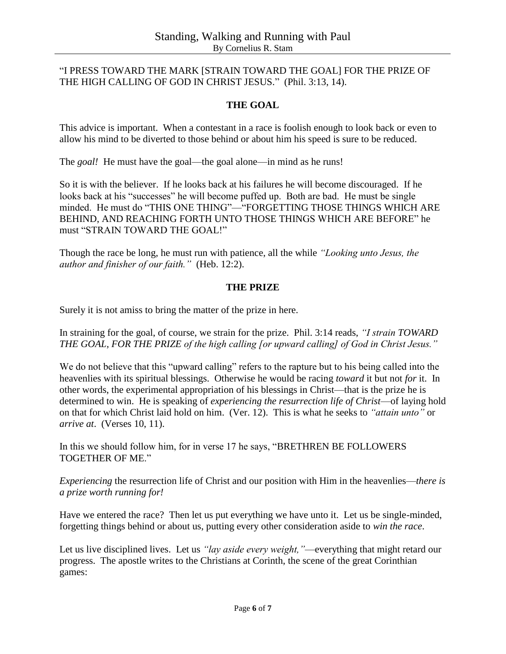### "I PRESS TOWARD THE MARK [STRAIN TOWARD THE GOAL] FOR THE PRIZE OF THE HIGH CALLING OF GOD IN CHRIST JESUS." (Phil. 3:13, 14).

## **THE GOAL**

This advice is important. When a contestant in a race is foolish enough to look back or even to allow his mind to be diverted to those behind or about him his speed is sure to be reduced.

The *goal!* He must have the goal—the goal alone—in mind as he runs!

So it is with the believer. If he looks back at his failures he will become discouraged. If he looks back at his "successes" he will become puffed up. Both are bad. He must be single minded. He must do "THIS ONE THING"—"FORGETTING THOSE THINGS WHICH ARE BEHIND, AND REACHING FORTH UNTO THOSE THINGS WHICH ARE BEFORE" he must "STRAIN TOWARD THE GOAL!"

Though the race be long, he must run with patience, all the while *"Looking unto Jesus, the author and finisher of our faith."* (Heb. 12:2).

#### **THE PRIZE**

Surely it is not amiss to bring the matter of the prize in here.

In straining for the goal, of course, we strain for the prize. Phil. 3:14 reads, *"I strain TOWARD THE GOAL, FOR THE PRIZE of the high calling [or upward calling] of God in Christ Jesus."*

We do not believe that this "upward calling" refers to the rapture but to his being called into the heavenlies with its spiritual blessings. Otherwise he would be racing *toward* it but not *for* it. In other words, the experimental appropriation of his blessings in Christ—that is the prize he is determined to win. He is speaking of *experiencing the resurrection life of Christ*—of laying hold on that for which Christ laid hold on him. (Ver. 12). This is what he seeks to *"attain unto"* or *arrive at*. (Verses 10, 11).

In this we should follow him, for in verse 17 he says, "BRETHREN BE FOLLOWERS TOGETHER OF ME."

*Experiencing* the resurrection life of Christ and our position with Him in the heavenlies—*there is a prize worth running for!*

Have we entered the race? Then let us put everything we have unto it. Let us be single-minded, forgetting things behind or about us, putting every other consideration aside to *win the race*.

Let us live disciplined lives. Let us *"lay aside every weight,"*—everything that might retard our progress. The apostle writes to the Christians at Corinth, the scene of the great Corinthian games: